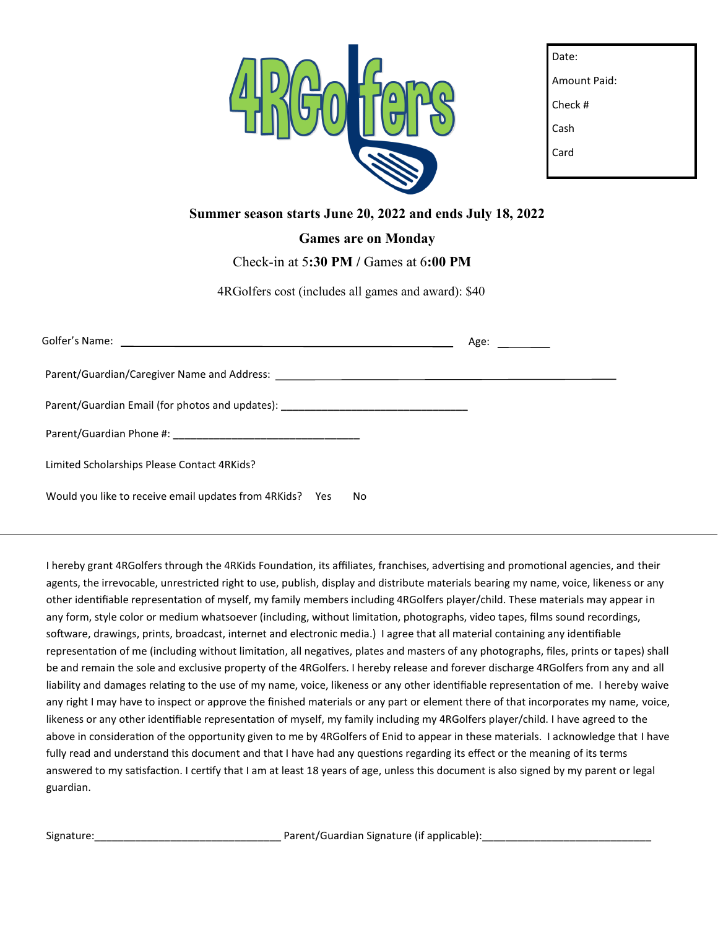

| Date:        |
|--------------|
| Amount Paid: |
| Check #      |
| Cash         |
| Card         |
|              |

### **Summer season starts June 20, 2022 and ends July 18, 2022**

#### **Games are on Monday**

Check-in at 5**:30 PM /** Games at 6**:00 PM**

4RGolfers cost (includes all games and award): \$40

|                                                                                  |     | Age: _________ |
|----------------------------------------------------------------------------------|-----|----------------|
|                                                                                  |     |                |
| Parent/Guardian Email (for photos and updates): ________________________________ |     |                |
|                                                                                  |     |                |
| Limited Scholarships Please Contact 4RKids?                                      |     |                |
| Would you like to receive email updates from 4RKids? Yes                         | No. |                |

I hereby grant 4RGolfers through the 4RKids Foundation, its affiliates, franchises, advertising and promotional agencies, and their agents, the irrevocable, unrestricted right to use, publish, display and distribute materials bearing my name, voice, likeness or any other identifiable representation of myself, my family members including 4RGolfers player/child. These materials may appear in any form, style color or medium whatsoever (including, without limitation, photographs, video tapes, films sound recordings, software, drawings, prints, broadcast, internet and electronic media.) I agree that all material containing any identifiable representation of me (including without limitation, all negatives, plates and masters of any photographs, files, prints or tapes) shall be and remain the sole and exclusive property of the 4RGolfers. I hereby release and forever discharge 4RGolfers from any and all liability and damages relating to the use of my name, voice, likeness or any other identifiable representation of me. I hereby waive any right I may have to inspect or approve the finished materials or any part or element there of that incorporates my name, voice, likeness or any other identifiable representation of myself, my family including my 4RGolfers player/child. I have agreed to the above in consideration of the opportunity given to me by 4RGolfers of Enid to appear in these materials. I acknowledge that I have fully read and understand this document and that I have had any questions regarding its effect or the meaning of its terms answered to my satisfaction. I certify that I am at least 18 years of age, unless this document is also signed by my parent or legal guardian.

Signature:\_\_\_\_\_\_\_\_\_\_\_\_\_\_\_\_\_\_\_\_\_\_\_\_\_\_\_\_\_\_\_\_ Parent/Guardian Signature (if applicable):\_\_\_\_\_\_\_\_\_\_\_\_\_\_\_\_\_\_\_\_\_\_\_\_\_\_\_\_\_